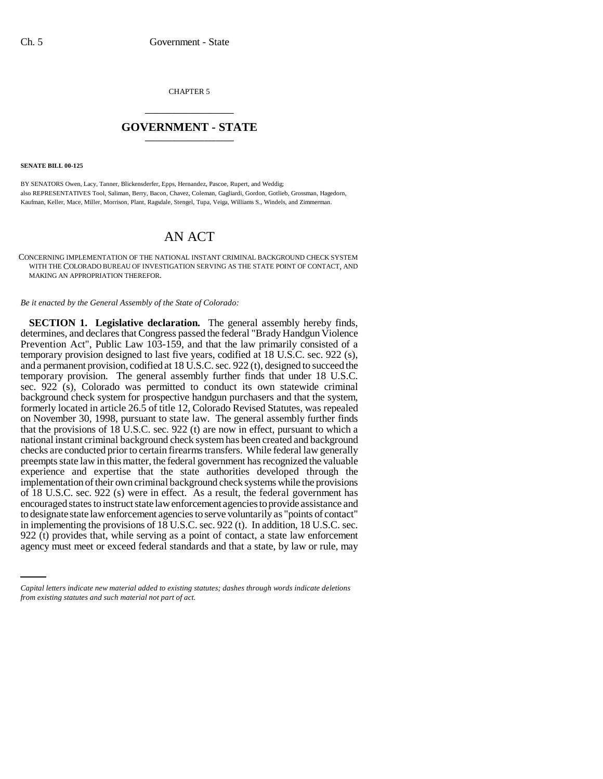CHAPTER 5 \_\_\_\_\_\_\_\_\_\_\_\_\_\_\_

## **GOVERNMENT - STATE** \_\_\_\_\_\_\_\_\_\_\_\_\_\_\_

**SENATE BILL 00-125** 

BY SENATORS Owen, Lacy, Tanner, Blickensderfer, Epps, Hernandez, Pascoe, Rupert, and Weddig; also REPRESENTATIVES Tool, Saliman, Berry, Bacon, Chavez, Coleman, Gagliardi, Gordon, Gotlieb, Grossman, Hagedorn, Kaufman, Keller, Mace, Miller, Morrison, Plant, Ragsdale, Stengel, Tupa, Veiga, Williams S., Windels, and Zimmerman.

## AN ACT

CONCERNING IMPLEMENTATION OF THE NATIONAL INSTANT CRIMINAL BACKGROUND CHECK SYSTEM WITH THE COLORADO BUREAU OF INVESTIGATION SERVING AS THE STATE POINT OF CONTACT, AND MAKING AN APPROPRIATION THEREFOR.

*Be it enacted by the General Assembly of the State of Colorado:*

in implementing the provisions of 18 U.S.C. sec. 922 (t). In addition, 18 U.S.C. sec. **SECTION 1. Legislative declaration.** The general assembly hereby finds, determines, and declares that Congress passed the federal "Brady Handgun Violence Prevention Act", Public Law 103-159, and that the law primarily consisted of a temporary provision designed to last five years, codified at 18 U.S.C. sec. 922 (s), and a permanent provision, codified at 18 U.S.C. sec. 922 (t), designed to succeed the temporary provision. The general assembly further finds that under 18 U.S.C. sec. 922 (s), Colorado was permitted to conduct its own statewide criminal background check system for prospective handgun purchasers and that the system, formerly located in article 26.5 of title 12, Colorado Revised Statutes, was repealed on November 30, 1998, pursuant to state law. The general assembly further finds that the provisions of  $18$  U.S.C. sec. 922 (t) are now in effect, pursuant to which a national instant criminal background check system has been created and background checks are conducted prior to certain firearms transfers. While federal law generally preempts state law in this matter, the federal government has recognized the valuable experience and expertise that the state authorities developed through the implementation of their own criminal background check systems while the provisions of 18 U.S.C. sec. 922 (s) were in effect. As a result, the federal government has encouraged states to instruct state law enforcement agencies to provide assistance and to designate state law enforcement agencies to serve voluntarily as "points of contact" 922 (t) provides that, while serving as a point of contact, a state law enforcement agency must meet or exceed federal standards and that a state, by law or rule, may

*Capital letters indicate new material added to existing statutes; dashes through words indicate deletions from existing statutes and such material not part of act.*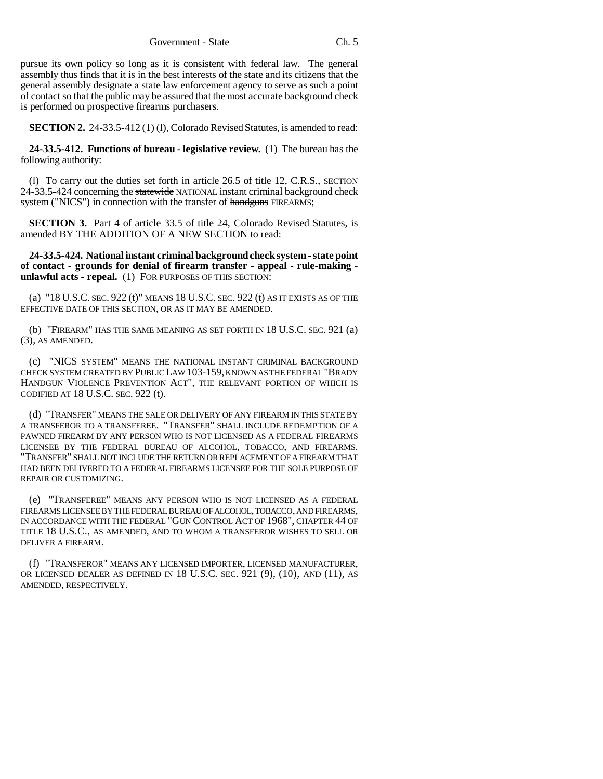pursue its own policy so long as it is consistent with federal law. The general assembly thus finds that it is in the best interests of the state and its citizens that the general assembly designate a state law enforcement agency to serve as such a point of contact so that the public may be assured that the most accurate background check is performed on prospective firearms purchasers.

**SECTION 2.** 24-33.5-412 (1) (1), Colorado Revised Statutes, is amended to read:

**24-33.5-412. Functions of bureau - legislative review.** (1) The bureau has the following authority:

(1) To carry out the duties set forth in  $\frac{\text{article } 26.5 \text{ of title } 12, \text{ C.R.S., } \text{SECTION}}{2}$ 24-33.5-424 concerning the statewide NATIONAL instant criminal background check system ("NICS") in connection with the transfer of handguns FIREARMS;

**SECTION 3.** Part 4 of article 33.5 of title 24, Colorado Revised Statutes, is amended BY THE ADDITION OF A NEW SECTION to read:

**24-33.5-424. National instant criminal background check system - state point of contact - grounds for denial of firearm transfer - appeal - rule-making unlawful acts - repeal.** (1) FOR PURPOSES OF THIS SECTION:

(a) "18 U.S.C. SEC. 922 (t)" MEANS 18 U.S.C. SEC. 922 (t) AS IT EXISTS AS OF THE EFFECTIVE DATE OF THIS SECTION, OR AS IT MAY BE AMENDED.

(b) "FIREARM" HAS THE SAME MEANING AS SET FORTH IN 18 U.S.C. SEC. 921 (a) (3), AS AMENDED.

(c) "NICS SYSTEM" MEANS THE NATIONAL INSTANT CRIMINAL BACKGROUND CHECK SYSTEM CREATED BY PUBLIC LAW 103-159, KNOWN AS THE FEDERAL "BRADY HANDGUN VIOLENCE PREVENTION ACT", THE RELEVANT PORTION OF WHICH IS CODIFIED AT 18 U.S.C. SEC. 922 (t).

(d) "TRANSFER" MEANS THE SALE OR DELIVERY OF ANY FIREARM IN THIS STATE BY A TRANSFEROR TO A TRANSFEREE. "TRANSFER" SHALL INCLUDE REDEMPTION OF A PAWNED FIREARM BY ANY PERSON WHO IS NOT LICENSED AS A FEDERAL FIREARMS LICENSEE BY THE FEDERAL BUREAU OF ALCOHOL, TOBACCO, AND FIREARMS. "TRANSFER" SHALL NOT INCLUDE THE RETURN OR REPLACEMENT OF A FIREARM THAT HAD BEEN DELIVERED TO A FEDERAL FIREARMS LICENSEE FOR THE SOLE PURPOSE OF REPAIR OR CUSTOMIZING.

(e) "TRANSFEREE" MEANS ANY PERSON WHO IS NOT LICENSED AS A FEDERAL FIREARMS LICENSEE BY THE FEDERAL BUREAU OF ALCOHOL, TOBACCO, AND FIREARMS, IN ACCORDANCE WITH THE FEDERAL "GUN CONTROL ACT OF 1968", CHAPTER 44 OF TITLE 18 U.S.C., AS AMENDED, AND TO WHOM A TRANSFEROR WISHES TO SELL OR DELIVER A FIREARM.

(f) "TRANSFEROR" MEANS ANY LICENSED IMPORTER, LICENSED MANUFACTURER, OR LICENSED DEALER AS DEFINED IN 18 U.S.C. SEC. 921 (9), (10), AND (11), AS AMENDED, RESPECTIVELY.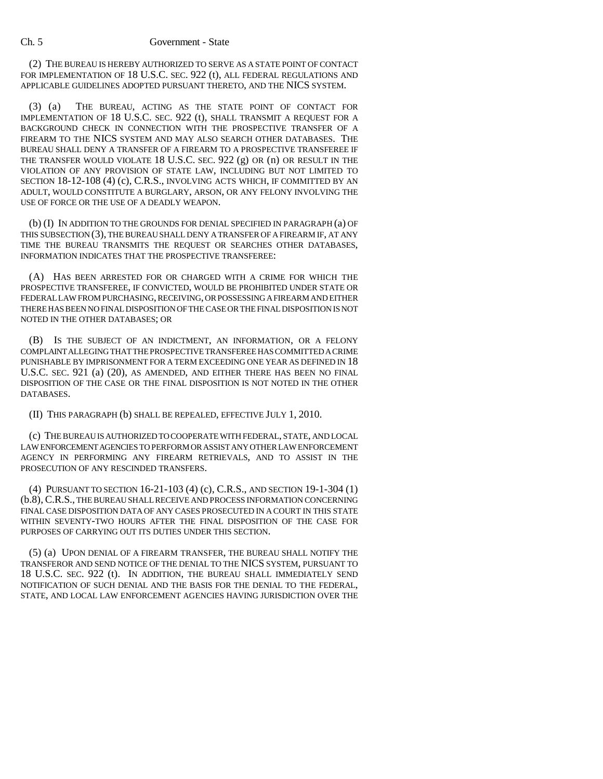## Ch. 5 Government - State

(2) THE BUREAU IS HEREBY AUTHORIZED TO SERVE AS A STATE POINT OF CONTACT FOR IMPLEMENTATION OF 18 U.S.C. SEC. 922 (t), ALL FEDERAL REGULATIONS AND APPLICABLE GUIDELINES ADOPTED PURSUANT THERETO, AND THE NICS SYSTEM.

(3) (a) THE BUREAU, ACTING AS THE STATE POINT OF CONTACT FOR IMPLEMENTATION OF 18 U.S.C. SEC. 922 (t), SHALL TRANSMIT A REQUEST FOR A BACKGROUND CHECK IN CONNECTION WITH THE PROSPECTIVE TRANSFER OF A FIREARM TO THE NICS SYSTEM AND MAY ALSO SEARCH OTHER DATABASES. THE BUREAU SHALL DENY A TRANSFER OF A FIREARM TO A PROSPECTIVE TRANSFEREE IF THE TRANSFER WOULD VIOLATE 18 U.S.C. SEC. 922 (g) OR (n) OR RESULT IN THE VIOLATION OF ANY PROVISION OF STATE LAW, INCLUDING BUT NOT LIMITED TO SECTION 18-12-108 (4) (c), C.R.S., INVOLVING ACTS WHICH, IF COMMITTED BY AN ADULT, WOULD CONSTITUTE A BURGLARY, ARSON, OR ANY FELONY INVOLVING THE USE OF FORCE OR THE USE OF A DEADLY WEAPON.

(b) (I) IN ADDITION TO THE GROUNDS FOR DENIAL SPECIFIED IN PARAGRAPH (a) OF THIS SUBSECTION (3), THE BUREAU SHALL DENY A TRANSFER OF A FIREARM IF, AT ANY TIME THE BUREAU TRANSMITS THE REQUEST OR SEARCHES OTHER DATABASES, INFORMATION INDICATES THAT THE PROSPECTIVE TRANSFEREE:

(A) HAS BEEN ARRESTED FOR OR CHARGED WITH A CRIME FOR WHICH THE PROSPECTIVE TRANSFEREE, IF CONVICTED, WOULD BE PROHIBITED UNDER STATE OR FEDERAL LAW FROM PURCHASING, RECEIVING, OR POSSESSING A FIREARM AND EITHER THERE HAS BEEN NO FINAL DISPOSITION OF THE CASE OR THE FINAL DISPOSITION IS NOT NOTED IN THE OTHER DATABASES; OR

(B) IS THE SUBJECT OF AN INDICTMENT, AN INFORMATION, OR A FELONY COMPLAINT ALLEGING THAT THE PROSPECTIVE TRANSFEREE HAS COMMITTED A CRIME PUNISHABLE BY IMPRISONMENT FOR A TERM EXCEEDING ONE YEAR AS DEFINED IN 18 U.S.C. SEC. 921 (a) (20), AS AMENDED, AND EITHER THERE HAS BEEN NO FINAL DISPOSITION OF THE CASE OR THE FINAL DISPOSITION IS NOT NOTED IN THE OTHER DATABASES.

(II) THIS PARAGRAPH (b) SHALL BE REPEALED, EFFECTIVE JULY 1, 2010.

(c) THE BUREAU IS AUTHORIZED TO COOPERATE WITH FEDERAL, STATE, AND LOCAL LAW ENFORCEMENT AGENCIES TO PERFORM OR ASSIST ANY OTHER LAW ENFORCEMENT AGENCY IN PERFORMING ANY FIREARM RETRIEVALS, AND TO ASSIST IN THE PROSECUTION OF ANY RESCINDED TRANSFERS.

(4) PURSUANT TO SECTION 16-21-103 (4) (c), C.R.S., AND SECTION 19-1-304 (1) (b.8), C.R.S., THE BUREAU SHALL RECEIVE AND PROCESS INFORMATION CONCERNING FINAL CASE DISPOSITION DATA OF ANY CASES PROSECUTED IN A COURT IN THIS STATE WITHIN SEVENTY-TWO HOURS AFTER THE FINAL DISPOSITION OF THE CASE FOR PURPOSES OF CARRYING OUT ITS DUTIES UNDER THIS SECTION.

(5) (a) UPON DENIAL OF A FIREARM TRANSFER, THE BUREAU SHALL NOTIFY THE TRANSFEROR AND SEND NOTICE OF THE DENIAL TO THE NICS SYSTEM, PURSUANT TO 18 U.S.C. SEC. 922 (t). IN ADDITION, THE BUREAU SHALL IMMEDIATELY SEND NOTIFICATION OF SUCH DENIAL AND THE BASIS FOR THE DENIAL TO THE FEDERAL, STATE, AND LOCAL LAW ENFORCEMENT AGENCIES HAVING JURISDICTION OVER THE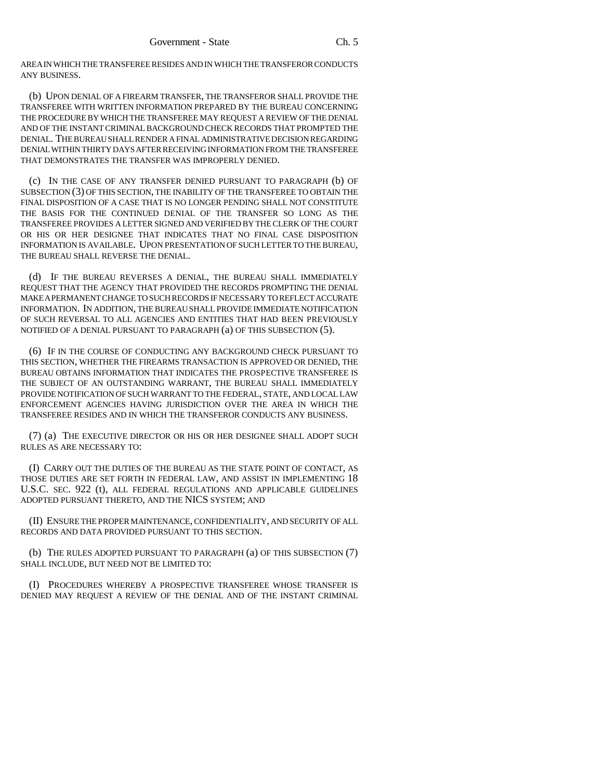AREA IN WHICH THE TRANSFEREE RESIDES AND IN WHICH THE TRANSFEROR CONDUCTS ANY BUSINESS.

(b) UPON DENIAL OF A FIREARM TRANSFER, THE TRANSFEROR SHALL PROVIDE THE TRANSFEREE WITH WRITTEN INFORMATION PREPARED BY THE BUREAU CONCERNING THE PROCEDURE BY WHICH THE TRANSFEREE MAY REQUEST A REVIEW OF THE DENIAL AND OF THE INSTANT CRIMINAL BACKGROUND CHECK RECORDS THAT PROMPTED THE DENIAL. THE BUREAU SHALL RENDER A FINAL ADMINISTRATIVE DECISION REGARDING DENIAL WITHIN THIRTY DAYS AFTER RECEIVING INFORMATION FROM THE TRANSFEREE THAT DEMONSTRATES THE TRANSFER WAS IMPROPERLY DENIED.

(c) IN THE CASE OF ANY TRANSFER DENIED PURSUANT TO PARAGRAPH (b) OF SUBSECTION (3) OF THIS SECTION, THE INABILITY OF THE TRANSFEREE TO OBTAIN THE FINAL DISPOSITION OF A CASE THAT IS NO LONGER PENDING SHALL NOT CONSTITUTE THE BASIS FOR THE CONTINUED DENIAL OF THE TRANSFER SO LONG AS THE TRANSFEREE PROVIDES A LETTER SIGNED AND VERIFIED BY THE CLERK OF THE COURT OR HIS OR HER DESIGNEE THAT INDICATES THAT NO FINAL CASE DISPOSITION INFORMATION IS AVAILABLE. UPON PRESENTATION OF SUCH LETTER TO THE BUREAU, THE BUREAU SHALL REVERSE THE DENIAL.

(d) IF THE BUREAU REVERSES A DENIAL, THE BUREAU SHALL IMMEDIATELY REQUEST THAT THE AGENCY THAT PROVIDED THE RECORDS PROMPTING THE DENIAL MAKE A PERMANENT CHANGE TO SUCH RECORDS IF NECESSARY TO REFLECT ACCURATE INFORMATION. IN ADDITION, THE BUREAU SHALL PROVIDE IMMEDIATE NOTIFICATION OF SUCH REVERSAL TO ALL AGENCIES AND ENTITIES THAT HAD BEEN PREVIOUSLY NOTIFIED OF A DENIAL PURSUANT TO PARAGRAPH (a) OF THIS SUBSECTION (5).

(6) IF IN THE COURSE OF CONDUCTING ANY BACKGROUND CHECK PURSUANT TO THIS SECTION, WHETHER THE FIREARMS TRANSACTION IS APPROVED OR DENIED, THE BUREAU OBTAINS INFORMATION THAT INDICATES THE PROSPECTIVE TRANSFEREE IS THE SUBJECT OF AN OUTSTANDING WARRANT, THE BUREAU SHALL IMMEDIATELY PROVIDE NOTIFICATION OF SUCH WARRANT TO THE FEDERAL, STATE, AND LOCAL LAW ENFORCEMENT AGENCIES HAVING JURISDICTION OVER THE AREA IN WHICH THE TRANSFEREE RESIDES AND IN WHICH THE TRANSFEROR CONDUCTS ANY BUSINESS.

(7) (a) THE EXECUTIVE DIRECTOR OR HIS OR HER DESIGNEE SHALL ADOPT SUCH RULES AS ARE NECESSARY TO:

(I) CARRY OUT THE DUTIES OF THE BUREAU AS THE STATE POINT OF CONTACT, AS THOSE DUTIES ARE SET FORTH IN FEDERAL LAW, AND ASSIST IN IMPLEMENTING 18 U.S.C. SEC. 922 (t), ALL FEDERAL REGULATIONS AND APPLICABLE GUIDELINES ADOPTED PURSUANT THERETO, AND THE NICS SYSTEM; AND

(II) ENSURE THE PROPER MAINTENANCE, CONFIDENTIALITY, AND SECURITY OF ALL RECORDS AND DATA PROVIDED PURSUANT TO THIS SECTION.

(b) THE RULES ADOPTED PURSUANT TO PARAGRAPH (a) OF THIS SUBSECTION (7) SHALL INCLUDE, BUT NEED NOT BE LIMITED TO:

(I) PROCEDURES WHEREBY A PROSPECTIVE TRANSFEREE WHOSE TRANSFER IS DENIED MAY REQUEST A REVIEW OF THE DENIAL AND OF THE INSTANT CRIMINAL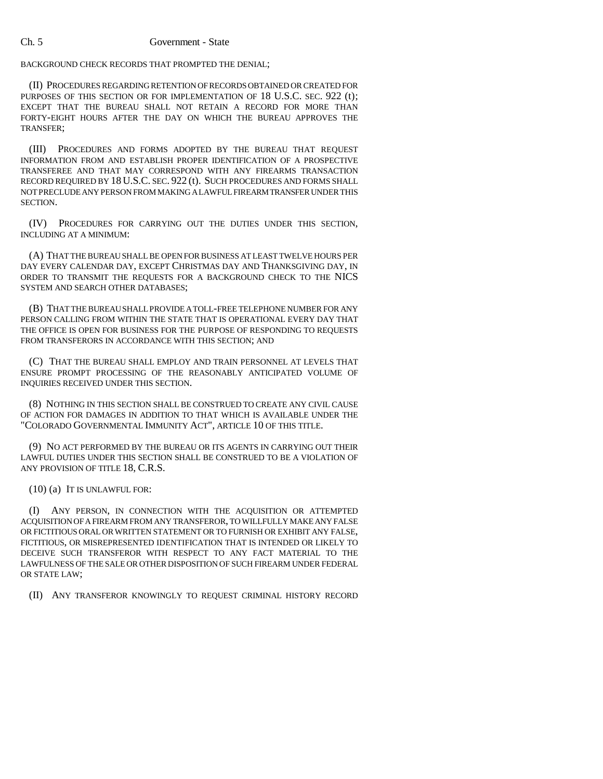BACKGROUND CHECK RECORDS THAT PROMPTED THE DENIAL;

(II) PROCEDURES REGARDING RETENTION OF RECORDS OBTAINED OR CREATED FOR PURPOSES OF THIS SECTION OR FOR IMPLEMENTATION OF 18 U.S.C. SEC. 922 (t); EXCEPT THAT THE BUREAU SHALL NOT RETAIN A RECORD FOR MORE THAN FORTY-EIGHT HOURS AFTER THE DAY ON WHICH THE BUREAU APPROVES THE TRANSFER;

(III) PROCEDURES AND FORMS ADOPTED BY THE BUREAU THAT REQUEST INFORMATION FROM AND ESTABLISH PROPER IDENTIFICATION OF A PROSPECTIVE TRANSFEREE AND THAT MAY CORRESPOND WITH ANY FIREARMS TRANSACTION RECORD REQUIRED BY 18 U.S.C. SEC. 922 (t). SUCH PROCEDURES AND FORMS SHALL NOT PRECLUDE ANY PERSON FROM MAKING A LAWFUL FIREARM TRANSFER UNDER THIS SECTION.

(IV) PROCEDURES FOR CARRYING OUT THE DUTIES UNDER THIS SECTION, INCLUDING AT A MINIMUM:

(A) THAT THE BUREAU SHALL BE OPEN FOR BUSINESS AT LEAST TWELVE HOURS PER DAY EVERY CALENDAR DAY, EXCEPT CHRISTMAS DAY AND THANKSGIVING DAY, IN ORDER TO TRANSMIT THE REQUESTS FOR A BACKGROUND CHECK TO THE NICS SYSTEM AND SEARCH OTHER DATABASES;

(B) THAT THE BUREAU SHALL PROVIDE A TOLL-FREE TELEPHONE NUMBER FOR ANY PERSON CALLING FROM WITHIN THE STATE THAT IS OPERATIONAL EVERY DAY THAT THE OFFICE IS OPEN FOR BUSINESS FOR THE PURPOSE OF RESPONDING TO REQUESTS FROM TRANSFERORS IN ACCORDANCE WITH THIS SECTION; AND

(C) THAT THE BUREAU SHALL EMPLOY AND TRAIN PERSONNEL AT LEVELS THAT ENSURE PROMPT PROCESSING OF THE REASONABLY ANTICIPATED VOLUME OF INQUIRIES RECEIVED UNDER THIS SECTION.

(8) NOTHING IN THIS SECTION SHALL BE CONSTRUED TO CREATE ANY CIVIL CAUSE OF ACTION FOR DAMAGES IN ADDITION TO THAT WHICH IS AVAILABLE UNDER THE "COLORADO GOVERNMENTAL IMMUNITY ACT", ARTICLE 10 OF THIS TITLE.

(9) NO ACT PERFORMED BY THE BUREAU OR ITS AGENTS IN CARRYING OUT THEIR LAWFUL DUTIES UNDER THIS SECTION SHALL BE CONSTRUED TO BE A VIOLATION OF ANY PROVISION OF TITLE 18, C.R.S.

(10) (a) IT IS UNLAWFUL FOR:

(I) ANY PERSON, IN CONNECTION WITH THE ACQUISITION OR ATTEMPTED ACQUISITION OF A FIREARM FROM ANY TRANSFEROR, TO WILLFULLY MAKE ANY FALSE OR FICTITIOUS ORAL OR WRITTEN STATEMENT OR TO FURNISH OR EXHIBIT ANY FALSE, FICTITIOUS, OR MISREPRESENTED IDENTIFICATION THAT IS INTENDED OR LIKELY TO DECEIVE SUCH TRANSFEROR WITH RESPECT TO ANY FACT MATERIAL TO THE LAWFULNESS OF THE SALE OR OTHER DISPOSITION OF SUCH FIREARM UNDER FEDERAL OR STATE LAW;

(II) ANY TRANSFEROR KNOWINGLY TO REQUEST CRIMINAL HISTORY RECORD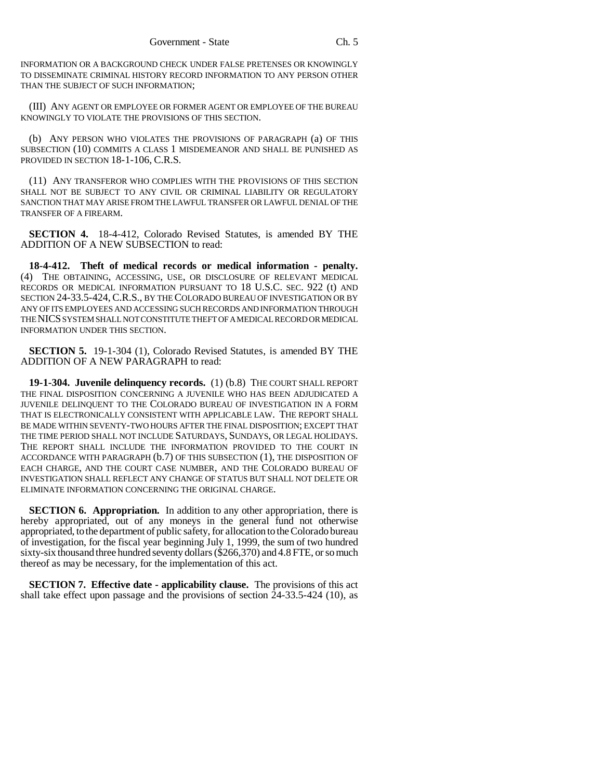INFORMATION OR A BACKGROUND CHECK UNDER FALSE PRETENSES OR KNOWINGLY TO DISSEMINATE CRIMINAL HISTORY RECORD INFORMATION TO ANY PERSON OTHER THAN THE SUBJECT OF SUCH INFORMATION;

(III) ANY AGENT OR EMPLOYEE OR FORMER AGENT OR EMPLOYEE OF THE BUREAU KNOWINGLY TO VIOLATE THE PROVISIONS OF THIS SECTION.

(b) ANY PERSON WHO VIOLATES THE PROVISIONS OF PARAGRAPH (a) OF THIS SUBSECTION (10) COMMITS A CLASS 1 MISDEMEANOR AND SHALL BE PUNISHED AS PROVIDED IN SECTION 18-1-106, C.R.S.

(11) ANY TRANSFEROR WHO COMPLIES WITH THE PROVISIONS OF THIS SECTION SHALL NOT BE SUBJECT TO ANY CIVIL OR CRIMINAL LIABILITY OR REGULATORY SANCTION THAT MAY ARISE FROM THE LAWFUL TRANSFER OR LAWFUL DENIAL OF THE TRANSFER OF A FIREARM.

**SECTION 4.** 18-4-412, Colorado Revised Statutes, is amended BY THE ADDITION OF A NEW SUBSECTION to read:

**18-4-412. Theft of medical records or medical information - penalty.** (4) THE OBTAINING, ACCESSING, USE, OR DISCLOSURE OF RELEVANT MEDICAL RECORDS OR MEDICAL INFORMATION PURSUANT TO 18 U.S.C. SEC. 922 (t) AND SECTION 24-33.5-424, C.R.S., BY THE COLORADO BUREAU OF INVESTIGATION OR BY ANY OF ITS EMPLOYEES AND ACCESSING SUCH RECORDS AND INFORMATION THROUGH THE NICS SYSTEM SHALL NOT CONSTITUTE THEFT OF A MEDICAL RECORD OR MEDICAL INFORMATION UNDER THIS SECTION.

**SECTION 5.** 19-1-304 (1), Colorado Revised Statutes, is amended BY THE ADDITION OF A NEW PARAGRAPH to read:

**19-1-304. Juvenile delinquency records.** (1) (b.8) THE COURT SHALL REPORT THE FINAL DISPOSITION CONCERNING A JUVENILE WHO HAS BEEN ADJUDICATED A JUVENILE DELINQUENT TO THE COLORADO BUREAU OF INVESTIGATION IN A FORM THAT IS ELECTRONICALLY CONSISTENT WITH APPLICABLE LAW. THE REPORT SHALL BE MADE WITHIN SEVENTY-TWO HOURS AFTER THE FINAL DISPOSITION; EXCEPT THAT THE TIME PERIOD SHALL NOT INCLUDE SATURDAYS, SUNDAYS, OR LEGAL HOLIDAYS. THE REPORT SHALL INCLUDE THE INFORMATION PROVIDED TO THE COURT IN ACCORDANCE WITH PARAGRAPH (b.7) OF THIS SUBSECTION (1), THE DISPOSITION OF EACH CHARGE, AND THE COURT CASE NUMBER, AND THE COLORADO BUREAU OF INVESTIGATION SHALL REFLECT ANY CHANGE OF STATUS BUT SHALL NOT DELETE OR ELIMINATE INFORMATION CONCERNING THE ORIGINAL CHARGE.

**SECTION 6. Appropriation.** In addition to any other appropriation, there is hereby appropriated, out of any moneys in the general fund not otherwise appropriated, to the department of public safety, for allocation to the Colorado bureau of investigation, for the fiscal year beginning July 1, 1999, the sum of two hundred sixty-six thousand three hundred seventy dollars (\$266,370) and 4.8 FTE, or so much thereof as may be necessary, for the implementation of this act.

**SECTION 7. Effective date - applicability clause.** The provisions of this act shall take effect upon passage and the provisions of section 24-33.5-424 (10), as